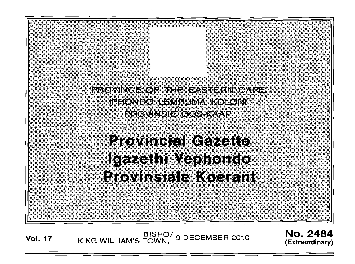

Vol. 17 BISHO/ KING WILLIAM'S TOWN, 9 DECEMBER 2010 No. 2484 **(Extraordinary)**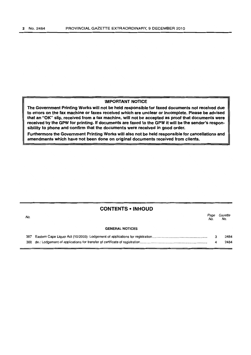## IMPORTANT NOTICE

The Government Printing Works will not be held responsible for faxed documents not received due to errors on the fax machine or faxes received which are unclear or incomplete. Please be advised that an "OK" slip, received from a fax machine, will not be accepted as proof that documents were received by the GPW for printing. If documents are faxed to the GPW it will be the sender's responsibility to phone and confirm that the documents were received in good order.

Furthermore the Government Printing Works will also not be held responsible for cancellations and amendments which have not been done on original documents received from clients.

## CONTENTS • INHOUD

| No. |                        | Page<br>No. | Gazette<br>No. |
|-----|------------------------|-------------|----------------|
|     | <b>GENERAL NOTICES</b> |             |                |
| 387 |                        |             | 2484           |
| 388 |                        |             | 2484           |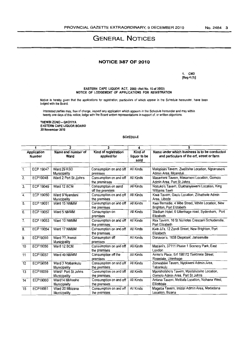# **GENERAL NOTICES**

## **NOTICE 387 OF 2010**

1. CM3 [Reg 4 (11J

EASTERN CAPE LIQUOR ACT, 2003 (Act No. 10 of 2003) NOTICE OF LODGEMENT OF APPLICATIONS FOR REGISTRATION

Notice is hereby given that the applications for registration, particulars of which appear in the Schedule hereunder, have been lodged with the Board.

Interested parties may, free of charge, inspect any application which appears in the Schedule hereunder and may within twenty one days of this notice, lodge with the Board written representations in support of, or written objections.

THEMBI ZONO - GXOYIYA EASTERN CAPE LIQUOR BOARD 30 November 2010

#### **SCHEDULE**

| 1                            |                  | 2                                   | 3                                       | 4                               | 5                                                                                          |  |  |
|------------------------------|------------------|-------------------------------------|-----------------------------------------|---------------------------------|--------------------------------------------------------------------------------------------|--|--|
| Application<br><b>Number</b> |                  | Name and number of<br>Ward          | Kind of registration<br>applied for     | Kind of<br>liquor to be<br>sold | Name under which business is to be conducted<br>and particulars of the erf, street or farm |  |  |
| $\overline{1}$ .             | ECP 19047        | Ward 29 KSD<br>Municipality         | Consumption on and off<br>premises      | All Kinds                       | Malopisini Tavern, Zwelitsha Location, Ngcanaseni<br>Admin Area, Mganduli                  |  |  |
| $\overline{2}$ .             | ECP19048         | Ward 2 Port St Jjohns               | Consumption on and off<br>the preminses | All Kinds                       | Masameni Tavern, Masameni Location, Gomolo<br>Admin Area. Port St Johns                    |  |  |
| $\overline{3}$ .             | ECP 19049        | Ward 12 BCM                         | Consumption on aand<br>off the premises | All Kinds                       | Nozuko's Tavern, Elukhanyisweni Location, King<br><b>Williams Town</b>                     |  |  |
| $\ddot{4}$ .                 | ECP 19050        | Ward 9 Nyandeni<br>Municipality     | Consumption on and off<br>the premises  | All Kinds                       | Kiwa Tavern, Gxulu Location, Zithathele Admin<br>Area, Libode                              |  |  |
| $\overline{5}$ .             | <b>ECP 19051</b> | Ward 15 NMMM                        | Consumption on and off<br>the premises  | All Kinds                       | Kwa Bernadie, 4 Nibe Street, White Location, New<br>Brighton, Port Elizabeth               |  |  |
| 6.                           | <b>ECP 19052</b> | Ward 5 NMMM                         | Consumption on<br>premises              | All Kinds                       | Stadium Hotel, 6 Uitenhage road, Sydenham, Port<br>Elizabeth                               |  |  |
| 7 <sub>1</sub>               | ECP 19053        | Ward 10 NMMM                        | Consumption on and off<br>the premises  | All Kinds                       | Rex Tavern, 16 St Nicholas Crescent Schuderville,<br>Port Elizabeth                        |  |  |
| 8.                           | <b>ECP 19054</b> | Ward 17 NMMM                        | Consumption on and off<br>the premises  | All Kinds                       | Kwa JJ's, 12 Zondi Street, New Brighton, Port<br>Elizabeth                                 |  |  |
| 9.                           | ECP19055         | Ward ??, Ikwezi<br>Municipality     | Consumption off<br>premises             | All Kinds                       | Donavon's, 1638 Diepkloof, Jansenville                                                     |  |  |
| 10                           | ECP19056         | Ward 12 BCM                         | Consumption on and off<br>the premises  | All Kinds                       | Mazani's, 37111 Phase 1 Scenery Park, East<br>London                                       |  |  |
| 11                           | ECP19057         | Ward 49 NMMM                        | Consumption off the<br>premises         | All Kinds                       | Annie's Place, Erf 198172 Tinktinkie Street,<br>Rosedale, Uitenhage                        |  |  |
| 12                           | ECP19058         | Ward 3 Ntabankulu<br>Municipality   | Consumption on and off<br>the premises  | All Kinds                       | Zonwabise Tavern, Nyokweni Admin Area,<br>Tabankulu                                        |  |  |
| 13                           | ECP16059         | Ward1 Port St Johns<br>Municipality | Consumption on and off<br>the premises  | All Kinds                       | Mpotshotsho's Tavern, Mpotshotsho Location,<br>Gomolo Admin Area, Port St Johns            |  |  |
| 14                           | ECP19060         | Ward14 Mbhashe<br>Municiplaity      | Consumption on and off<br>the premises  | All Kinds                       | Antana Tavern, Melitafa Location, Ncihana West,<br>Elliottdale                             |  |  |
| 15                           | ECP19061         | Ward 20 Mbizana<br>Municipality     | Consumption on and off<br>the premises  | All Kinds                       | Mageba Tavern, Imizizi Admin Area, Madadana<br>Location, Bizana                            |  |  |